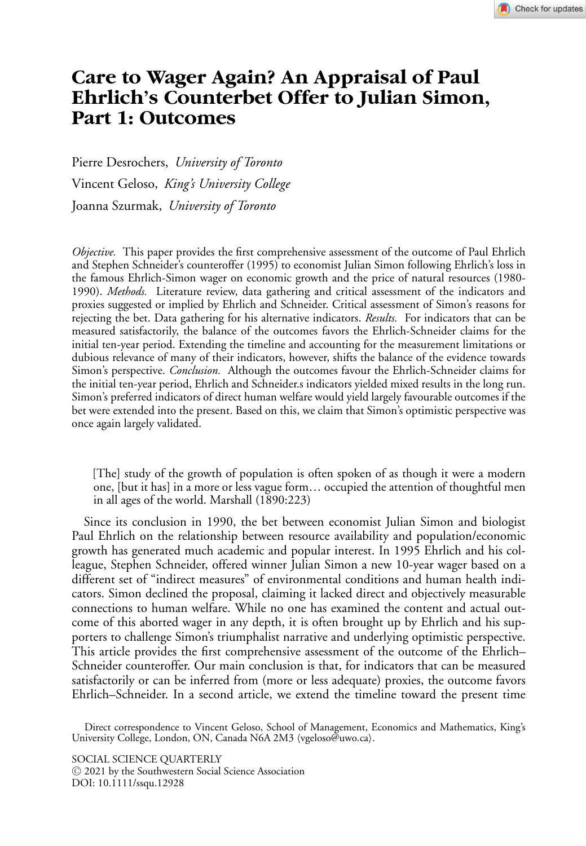# **Care to Wager Again? An Appraisal of Paul Ehrlich's Counterbet Offer to Julian Simon, Part 1: Outcomes**

Pierre Desrochers, *University of Toronto* Vincent Geloso, *King's University College* Joanna Szurmak, *University of Toronto*

*Objective.* This paper provides the first comprehensive assessment of the outcome of Paul Ehrlich and Stephen Schneider's counteroffer (1995) to economist Julian Simon following Ehrlich's loss in the famous Ehrlich-Simon wager on economic growth and the price of natural resources (1980- 1990). *Methods.* Literature review, data gathering and critical assessment of the indicators and proxies suggested or implied by Ehrlich and Schneider. Critical assessment of Simon's reasons for rejecting the bet. Data gathering for his alternative indicators. *Results.* For indicators that can be measured satisfactorily, the balance of the outcomes favors the Ehrlich-Schneider claims for the initial ten-year period. Extending the timeline and accounting for the measurement limitations or dubious relevance of many of their indicators, however, shifts the balance of the evidence towards Simon's perspective. *Conclusion.* Although the outcomes favour the Ehrlich-Schneider claims for the initial ten-year period, Ehrlich and Schneider.s indicators yielded mixed results in the long run. Simon's preferred indicators of direct human welfare would yield largely favourable outcomes if the bet were extended into the present. Based on this, we claim that Simon's optimistic perspective was once again largely validated.

[The] study of the growth of population is often spoken of as though it were a modern one, [but it has] in a more or less vague form… occupied the attention of thoughtful men in all ages of the world. Marshall (1890:223)

Since its conclusion in 1990, the bet between economist Julian Simon and biologist Paul Ehrlich on the relationship between resource availability and population/economic growth has generated much academic and popular interest. In 1995 Ehrlich and his colleague, Stephen Schneider, offered winner Julian Simon a new 10-year wager based on a different set of "indirect measures" of environmental conditions and human health indicators. Simon declined the proposal, claiming it lacked direct and objectively measurable connections to human welfare. While no one has examined the content and actual outcome of this aborted wager in any depth, it is often brought up by Ehrlich and his supporters to challenge Simon's triumphalist narrative and underlying optimistic perspective. This article provides the first comprehensive assessment of the outcome of the Ehrlich– Schneider counteroffer. Our main conclusion is that, for indicators that can be measured satisfactorily or can be inferred from (more or less adequate) proxies, the outcome favors Ehrlich–Schneider. In a second article, we extend the timeline toward the present time

Direct correspondence to Vincent Geloso, School of Management, Economics and Mathematics, King's University College, London, ON, Canada N6A 2M3 (vgeloso@uwo.ca).

SOCIAL SCIENCE QUARTERLY <sup>C</sup> 2021 by the Southwestern Social Science Association DOI: 10.1111/ssqu.12928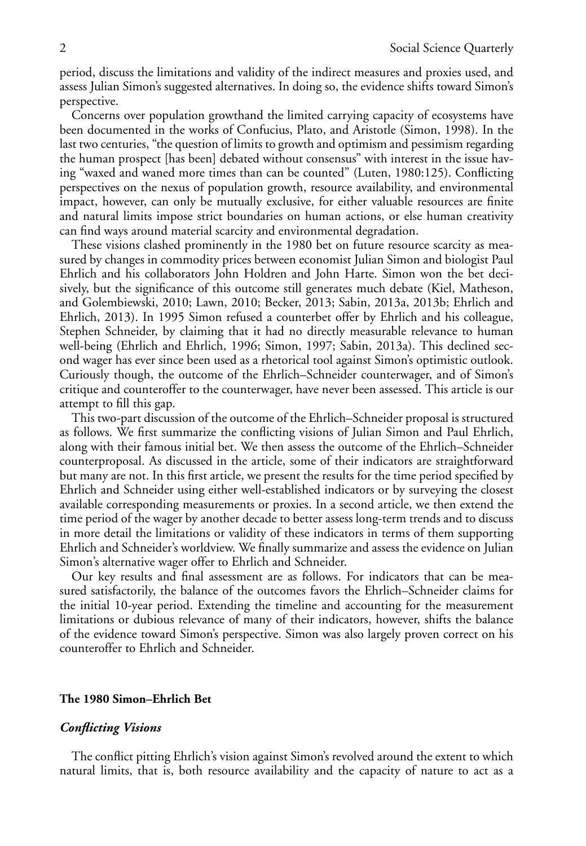period, discuss the limitations and validity of the indirect measures and proxies used, and assess Julian Simon's suggested alternatives. In doing so, the evidence shifts toward Simon's perspective.

Concerns over population growthand the limited carrying capacity of ecosystems have been documented in the works of Confucius, Plato, and Aristotle (Simon, 1998). In the last two centuries, "the question of limits to growth and optimism and pessimism regarding the human prospect [has been] debated without consensus" with interest in the issue having "waxed and waned more times than can be counted" (Luten, 1980:125). Conflicting perspectives on the nexus of population growth, resource availability, and environmental impact, however, can only be mutually exclusive, for either valuable resources are finite and natural limits impose strict boundaries on human actions, or else human creativity can find ways around material scarcity and environmental degradation.

These visions clashed prominently in the 1980 bet on future resource scarcity as measured by changes in commodity prices between economist Julian Simon and biologist Paul Ehrlich and his collaborators John Holdren and John Harte. Simon won the bet decisively, but the significance of this outcome still generates much debate (Kiel, Matheson, and Golembiewski, 2010; Lawn, 2010; Becker, 2013; Sabin, 2013a, 2013b; Ehrlich and Ehrlich, 2013). In 1995 Simon refused a counterbet offer by Ehrlich and his colleague, Stephen Schneider, by claiming that it had no directly measurable relevance to human well-being (Ehrlich and Ehrlich, 1996; Simon, 1997; Sabin, 2013a). This declined second wager has ever since been used as a rhetorical tool against Simon's optimistic outlook. Curiously though, the outcome of the Ehrlich–Schneider counterwager, and of Simon's critique and counteroffer to the counterwager, have never been assessed. This article is our attempt to fill this gap.

This two-part discussion of the outcome of the Ehrlich–Schneider proposal is structured as follows. We first summarize the conflicting visions of Julian Simon and Paul Ehrlich, along with their famous initial bet. We then assess the outcome of the Ehrlich–Schneider counterproposal. As discussed in the article, some of their indicators are straightforward but many are not. In this first article, we present the results for the time period specified by Ehrlich and Schneider using either well-established indicators or by surveying the closest available corresponding measurements or proxies. In a second article, we then extend the time period of the wager by another decade to better assess long-term trends and to discuss in more detail the limitations or validity of these indicators in terms of them supporting Ehrlich and Schneider's worldview. We finally summarize and assess the evidence on Julian Simon's alternative wager offer to Ehrlich and Schneider.

Our key results and final assessment are as follows. For indicators that can be measured satisfactorily, the balance of the outcomes favors the Ehrlich–Schneider claims for the initial 10-year period. Extending the timeline and accounting for the measurement limitations or dubious relevance of many of their indicators, however, shifts the balance of the evidence toward Simon's perspective. Simon was also largely proven correct on his counteroffer to Ehrlich and Schneider.

# **The 1980 Simon–Ehrlich Bet**

# *Conflicting Visions*

The conflict pitting Ehrlich's vision against Simon's revolved around the extent to which natural limits, that is, both resource availability and the capacity of nature to act as a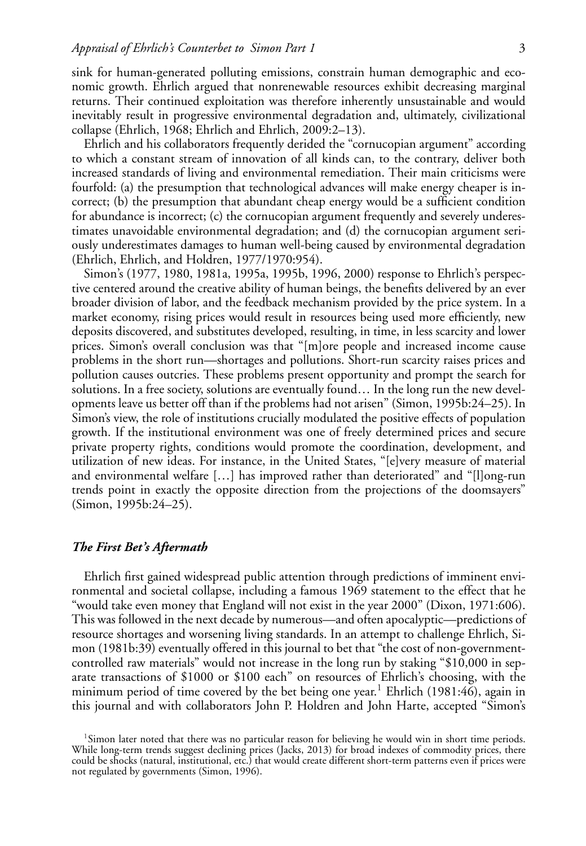sink for human-generated polluting emissions, constrain human demographic and economic growth. Ehrlich argued that nonrenewable resources exhibit decreasing marginal returns. Their continued exploitation was therefore inherently unsustainable and would inevitably result in progressive environmental degradation and, ultimately, civilizational collapse (Ehrlich, 1968; Ehrlich and Ehrlich, 2009:2–13).

Ehrlich and his collaborators frequently derided the "cornucopian argument" according to which a constant stream of innovation of all kinds can, to the contrary, deliver both increased standards of living and environmental remediation. Their main criticisms were fourfold: (a) the presumption that technological advances will make energy cheaper is incorrect; (b) the presumption that abundant cheap energy would be a sufficient condition for abundance is incorrect; (c) the cornucopian argument frequently and severely underestimates unavoidable environmental degradation; and (d) the cornucopian argument seriously underestimates damages to human well-being caused by environmental degradation (Ehrlich, Ehrlich, and Holdren, 1977/1970:954).

Simon's (1977, 1980, 1981a, 1995a, 1995b, 1996, 2000) response to Ehrlich's perspective centered around the creative ability of human beings, the benefits delivered by an ever broader division of labor, and the feedback mechanism provided by the price system. In a market economy, rising prices would result in resources being used more efficiently, new deposits discovered, and substitutes developed, resulting, in time, in less scarcity and lower prices. Simon's overall conclusion was that "[m]ore people and increased income cause problems in the short run—shortages and pollutions. Short-run scarcity raises prices and pollution causes outcries. These problems present opportunity and prompt the search for solutions. In a free society, solutions are eventually found… In the long run the new developments leave us better off than if the problems had not arisen" (Simon, 1995b:24–25). In Simon's view, the role of institutions crucially modulated the positive effects of population growth. If the institutional environment was one of freely determined prices and secure private property rights, conditions would promote the coordination, development, and utilization of new ideas. For instance, in the United States, "[e]very measure of material and environmental welfare […] has improved rather than deteriorated" and "[l]ong-run trends point in exactly the opposite direction from the projections of the doomsayers" (Simon, 1995b:24–25).

# *The First Bet's Aftermath*

Ehrlich first gained widespread public attention through predictions of imminent environmental and societal collapse, including a famous 1969 statement to the effect that he "would take even money that England will not exist in the year 2000" (Dixon, 1971:606). This was followed in the next decade by numerous—and often apocalyptic—predictions of resource shortages and worsening living standards. In an attempt to challenge Ehrlich, Simon (1981b:39) eventually offered in this journal to bet that "the cost of non-governmentcontrolled raw materials" would not increase in the long run by staking "\$10,000 in separate transactions of \$1000 or \$100 each" on resources of Ehrlich's choosing, with the minimum period of time covered by the bet being one year.<sup>1</sup> Ehrlich (1981:46), again in this journal and with collaborators John P. Holdren and John Harte, accepted "Simon's

<sup>1</sup>Simon later noted that there was no particular reason for believing he would win in short time periods. While long-term trends suggest declining prices (Jacks, 2013) for broad indexes of commodity prices, there could be shocks (natural, institutional, etc.) that would create different short-term patterns even if prices were not regulated by governments (Simon, 1996).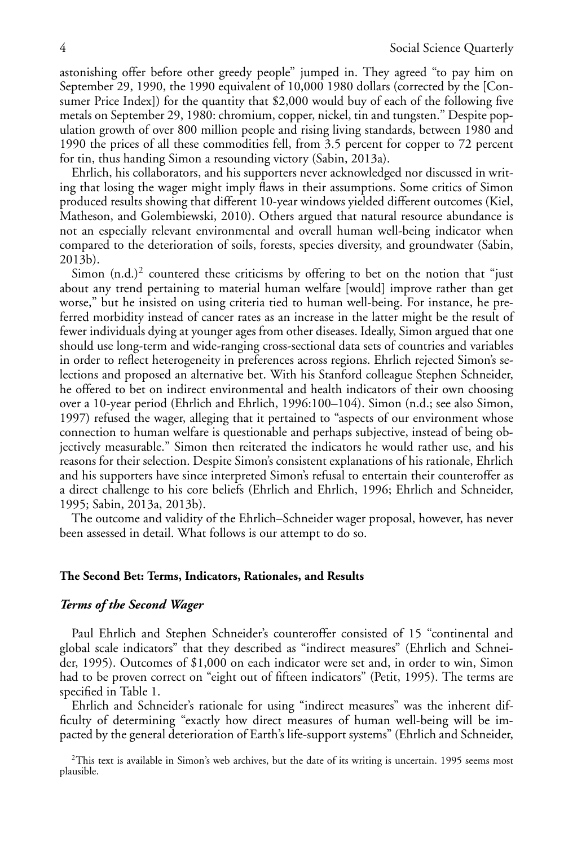astonishing offer before other greedy people" jumped in. They agreed "to pay him on September 29, 1990, the 1990 equivalent of 10,000 1980 dollars (corrected by the [Consumer Price Index]) for the quantity that \$2,000 would buy of each of the following five metals on September 29, 1980: chromium, copper, nickel, tin and tungsten." Despite population growth of over 800 million people and rising living standards, between 1980 and 1990 the prices of all these commodities fell, from 3.5 percent for copper to 72 percent for tin, thus handing Simon a resounding victory (Sabin, 2013a).

Ehrlich, his collaborators, and his supporters never acknowledged nor discussed in writing that losing the wager might imply flaws in their assumptions. Some critics of Simon produced results showing that different 10-year windows yielded different outcomes (Kiel, Matheson, and Golembiewski, 2010). Others argued that natural resource abundance is not an especially relevant environmental and overall human well-being indicator when compared to the deterioration of soils, forests, species diversity, and groundwater (Sabin, 2013b).

Simon  $(n.d.)^2$  countered these criticisms by offering to bet on the notion that "just about any trend pertaining to material human welfare [would] improve rather than get worse," but he insisted on using criteria tied to human well-being. For instance, he preferred morbidity instead of cancer rates as an increase in the latter might be the result of fewer individuals dying at younger ages from other diseases. Ideally, Simon argued that one should use long-term and wide-ranging cross-sectional data sets of countries and variables in order to reflect heterogeneity in preferences across regions. Ehrlich rejected Simon's selections and proposed an alternative bet. With his Stanford colleague Stephen Schneider, he offered to bet on indirect environmental and health indicators of their own choosing over a 10-year period (Ehrlich and Ehrlich, 1996:100–104). Simon (n.d.; see also Simon, 1997) refused the wager, alleging that it pertained to "aspects of our environment whose connection to human welfare is questionable and perhaps subjective, instead of being objectively measurable." Simon then reiterated the indicators he would rather use, and his reasons for their selection. Despite Simon's consistent explanations of his rationale, Ehrlich and his supporters have since interpreted Simon's refusal to entertain their counteroffer as a direct challenge to his core beliefs (Ehrlich and Ehrlich, 1996; Ehrlich and Schneider, 1995; Sabin, 2013a, 2013b).

The outcome and validity of the Ehrlich–Schneider wager proposal, however, has never been assessed in detail. What follows is our attempt to do so.

### **The Second Bet: Terms, Indicators, Rationales, and Results**

## *Terms of the Second Wager*

Paul Ehrlich and Stephen Schneider's counteroffer consisted of 15 "continental and global scale indicators" that they described as "indirect measures" (Ehrlich and Schneider, 1995). Outcomes of \$1,000 on each indicator were set and, in order to win, Simon had to be proven correct on "eight out of fifteen indicators" (Petit, 1995). The terms are specified in Table 1.

Ehrlich and Schneider's rationale for using "indirect measures" was the inherent difficulty of determining "exactly how direct measures of human well-being will be impacted by the general deterioration of Earth's life-support systems" (Ehrlich and Schneider,

 $2$ This text is available in Simon's web archives, but the date of its writing is uncertain. 1995 seems most plausible.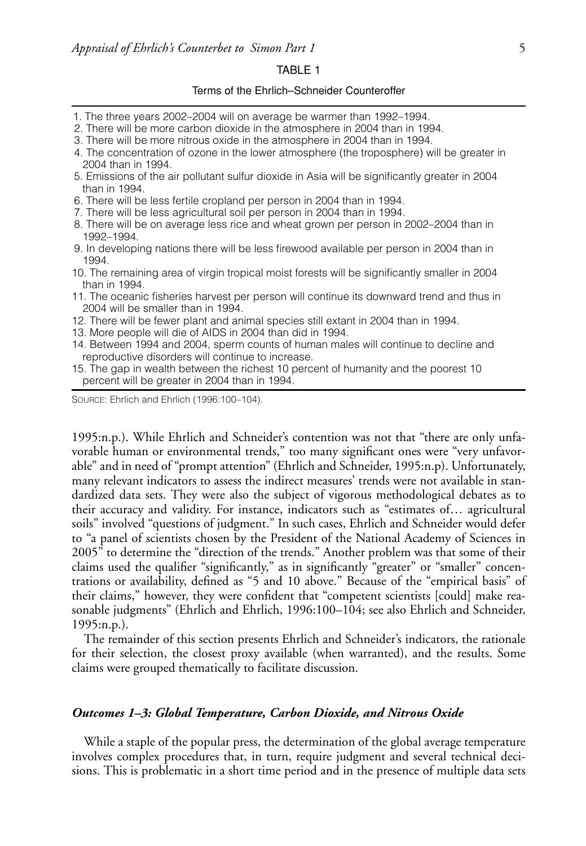#### TABLE 1

# Terms of the Ehrlich–Schneider Counteroffer

- 1. The three years 2002–2004 will on average be warmer than 1992–1994.
- 2. There will be more carbon dioxide in the atmosphere in 2004 than in 1994.
- 3. There will be more nitrous oxide in the atmosphere in 2004 than in 1994.
- 4. The concentration of ozone in the lower atmosphere (the troposphere) will be greater in 2004 than in 1994.
- 5. Emissions of the air pollutant sulfur dioxide in Asia will be significantly greater in 2004 than in 1994.
- 6. There will be less fertile cropland per person in 2004 than in 1994.
- 7. There will be less agricultural soil per person in 2004 than in 1994.
- 8. There will be on average less rice and wheat grown per person in 2002–2004 than in 1992–1994.
- 9. In developing nations there will be less firewood available per person in 2004 than in 1994.
- 10. The remaining area of virgin tropical moist forests will be significantly smaller in 2004 than in 1994.
- 11. The oceanic fisheries harvest per person will continue its downward trend and thus in 2004 will be smaller than in 1994.
- 12. There will be fewer plant and animal species still extant in 2004 than in 1994.
- 13. More people will die of AIDS in 2004 than did in 1994.
- 14. Between 1994 and 2004, sperm counts of human males will continue to decline and reproductive disorders will continue to increase.
- 15. The gap in wealth between the richest 10 percent of humanity and the poorest 10 percent will be greater in 2004 than in 1994.

SOURCE: Ehrlich and Ehrlich (1996:100–104).

1995:n.p.). While Ehrlich and Schneider's contention was not that "there are only unfavorable human or environmental trends," too many significant ones were "very unfavorable" and in need of "prompt attention" (Ehrlich and Schneider, 1995:n.p). Unfortunately, many relevant indicators to assess the indirect measures' trends were not available in standardized data sets. They were also the subject of vigorous methodological debates as to their accuracy and validity. For instance, indicators such as "estimates of… agricultural soils" involved "questions of judgment." In such cases, Ehrlich and Schneider would defer to "a panel of scientists chosen by the President of the National Academy of Sciences in 2005" to determine the "direction of the trends." Another problem was that some of their claims used the qualifier "significantly," as in significantly "greater" or "smaller" concentrations or availability, defined as "5 and 10 above." Because of the "empirical basis" of their claims," however, they were confident that "competent scientists [could] make reasonable judgments" (Ehrlich and Ehrlich, 1996:100–104; see also Ehrlich and Schneider, 1995:n.p.).

The remainder of this section presents Ehrlich and Schneider's indicators, the rationale for their selection, the closest proxy available (when warranted), and the results. Some claims were grouped thematically to facilitate discussion.

# *Outcomes 1–3: Global Temperature, Carbon Dioxide, and Nitrous Oxide*

While a staple of the popular press, the determination of the global average temperature involves complex procedures that, in turn, require judgment and several technical decisions. This is problematic in a short time period and in the presence of multiple data sets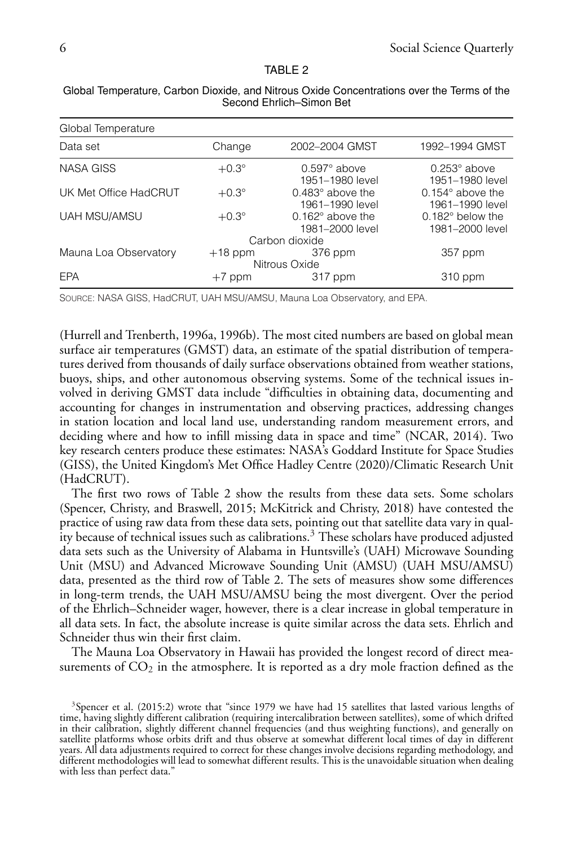### TABLE 2

| Global Temperature    |              |                                              |                                            |
|-----------------------|--------------|----------------------------------------------|--------------------------------------------|
| Data set              | Change       | 2002-2004 GMST                               | 1992-1994 GMST                             |
| <b>NASA GISS</b>      | $+0.3^\circ$ | $0.597^\circ$ above<br>1951–1980 level       | $0.253^\circ$ above<br>1951–1980 level     |
| UK Met Office HadCRUT | $+0.3^\circ$ | $0.483^\circ$ above the<br>1961-1990 level   | $0.154^\circ$ above the<br>1961-1990 level |
| <b>UAH MSU/AMSU</b>   | $+0.3^\circ$ | $0.162^{\circ}$ above the<br>1981-2000 level | $0.182^\circ$ below the<br>1981-2000 level |
|                       |              | Carbon dioxide                               |                                            |
| Mauna Loa Observatory | $+18$ ppm    | 376 ppm                                      | 357 ppm                                    |
|                       |              | Nitrous Oxide                                |                                            |
| EPA                   | $+7$ ppm     | 317 ppm                                      | 310 ppm                                    |

Global Temperature, Carbon Dioxide, and Nitrous Oxide Concentrations over the Terms of the Second Ehrlich–Simon Bet

SOURCE: NASA GISS, HadCRUT, UAH MSU/AMSU, Mauna Loa Observatory, and EPA.

(Hurrell and Trenberth, 1996a, 1996b). The most cited numbers are based on global mean surface air temperatures (GMST) data, an estimate of the spatial distribution of temperatures derived from thousands of daily surface observations obtained from weather stations, buoys, ships, and other autonomous observing systems. Some of the technical issues involved in deriving GMST data include "difficulties in obtaining data, documenting and accounting for changes in instrumentation and observing practices, addressing changes in station location and local land use, understanding random measurement errors, and deciding where and how to infill missing data in space and time" (NCAR, 2014). Two key research centers produce these estimates: NASA's Goddard Institute for Space Studies (GISS), the United Kingdom's Met Office Hadley Centre (2020)/Climatic Research Unit (HadCRUT).

The first two rows of Table 2 show the results from these data sets. Some scholars (Spencer, Christy, and Braswell, 2015; McKitrick and Christy, 2018) have contested the practice of using raw data from these data sets, pointing out that satellite data vary in quality because of technical issues such as calibrations.<sup>3</sup> These scholars have produced adjusted data sets such as the University of Alabama in Huntsville's (UAH) Microwave Sounding Unit (MSU) and Advanced Microwave Sounding Unit (AMSU) (UAH MSU/AMSU) data, presented as the third row of Table 2. The sets of measures show some differences in long-term trends, the UAH MSU/AMSU being the most divergent. Over the period of the Ehrlich–Schneider wager, however, there is a clear increase in global temperature in all data sets. In fact, the absolute increase is quite similar across the data sets. Ehrlich and Schneider thus win their first claim.

The Mauna Loa Observatory in Hawaii has provided the longest record of direct measurements of  $CO<sub>2</sub>$  in the atmosphere. It is reported as a dry mole fraction defined as the

<sup>&</sup>lt;sup>3</sup>Spencer et al. (2015:2) wrote that "since 1979 we have had 15 satellites that lasted various lengths of time, having slightly different calibration (requiring intercalibration between satellites), some of which drifted in their calibration, slightly different channel frequencies (and thus weighting functions), and generally on satellite platforms whose orbits drift and thus observe at somewhat different local times of day in different years. All data adjustments required to correct for these changes involve decisions regarding methodology, and different methodologies will lead to somewhat different results. This is the unavoidable situation when dealing with less than perfect data."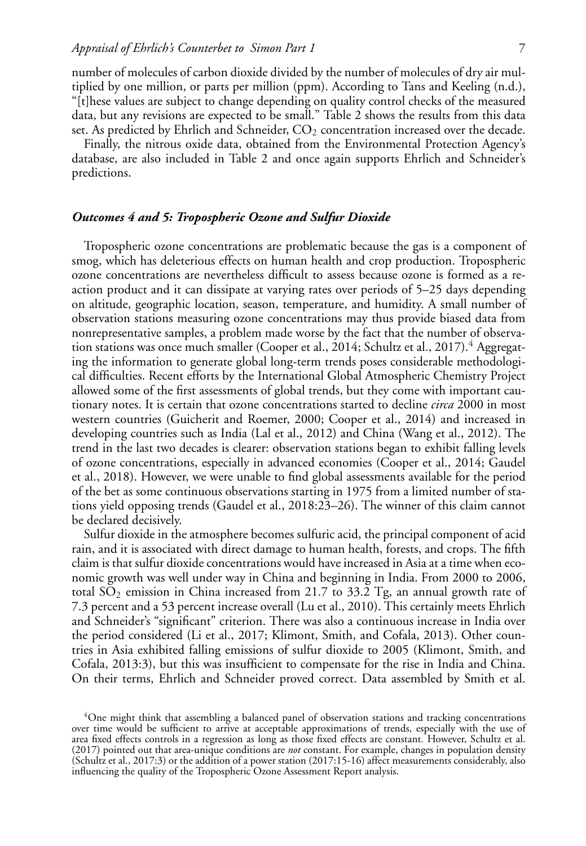number of molecules of carbon dioxide divided by the number of molecules of dry air multiplied by one million, or parts per million (ppm). According to Tans and Keeling (n.d.), "[t]hese values are subject to change depending on quality control checks of the measured data, but any revisions are expected to be small." Table 2 shows the results from this data set. As predicted by Ehrlich and Schneider,  $CO<sub>2</sub>$  concentration increased over the decade.

Finally, the nitrous oxide data, obtained from the Environmental Protection Agency's database, are also included in Table 2 and once again supports Ehrlich and Schneider's predictions.

# *Outcomes 4 and 5: Tropospheric Ozone and Sulfur Dioxide*

Tropospheric ozone concentrations are problematic because the gas is a component of smog, which has deleterious effects on human health and crop production. Tropospheric ozone concentrations are nevertheless difficult to assess because ozone is formed as a reaction product and it can dissipate at varying rates over periods of 5–25 days depending on altitude, geographic location, season, temperature, and humidity. A small number of observation stations measuring ozone concentrations may thus provide biased data from nonrepresentative samples, a problem made worse by the fact that the number of observation stations was once much smaller (Cooper et al., 2014; Schultz et al., 2017).<sup>4</sup> Aggregating the information to generate global long-term trends poses considerable methodological difficulties. Recent efforts by the International Global Atmospheric Chemistry Project allowed some of the first assessments of global trends, but they come with important cautionary notes. It is certain that ozone concentrations started to decline *circa* 2000 in most western countries (Guicherit and Roemer, 2000; Cooper et al., 2014) and increased in developing countries such as India (Lal et al., 2012) and China (Wang et al., 2012). The trend in the last two decades is clearer: observation stations began to exhibit falling levels of ozone concentrations, especially in advanced economies (Cooper et al., 2014; Gaudel et al., 2018). However, we were unable to find global assessments available for the period of the bet as some continuous observations starting in 1975 from a limited number of stations yield opposing trends (Gaudel et al., 2018:23–26). The winner of this claim cannot be declared decisively.

Sulfur dioxide in the atmosphere becomes sulfuric acid, the principal component of acid rain, and it is associated with direct damage to human health, forests, and crops. The fifth claim is that sulfur dioxide concentrations would have increased in Asia at a time when economic growth was well under way in China and beginning in India. From 2000 to 2006, total  $SO_2$  emission in China increased from 21.7 to 33.2 Tg, an annual growth rate of 7.3 percent and a 53 percent increase overall (Lu et al., 2010). This certainly meets Ehrlich and Schneider's "significant" criterion. There was also a continuous increase in India over the period considered (Li et al., 2017; Klimont, Smith, and Cofala, 2013). Other countries in Asia exhibited falling emissions of sulfur dioxide to 2005 (Klimont, Smith, and Cofala, 2013:3), but this was insufficient to compensate for the rise in India and China. On their terms, Ehrlich and Schneider proved correct. Data assembled by Smith et al.

<sup>4</sup>One might think that assembling a balanced panel of observation stations and tracking concentrations over time would be sufficient to arrive at acceptable approximations of trends, especially with the use of area fixed effects controls in a regression as long as those fixed effects are constant. However, Schultz et al. (2017) pointed out that area-unique conditions are *not* constant. For example, changes in population density (Schultz et al., 2017:3) or the addition of a power station (2017:15-16) affect measurements considerably, also influencing the quality of the Tropospheric Ozone Assessment Report analysis.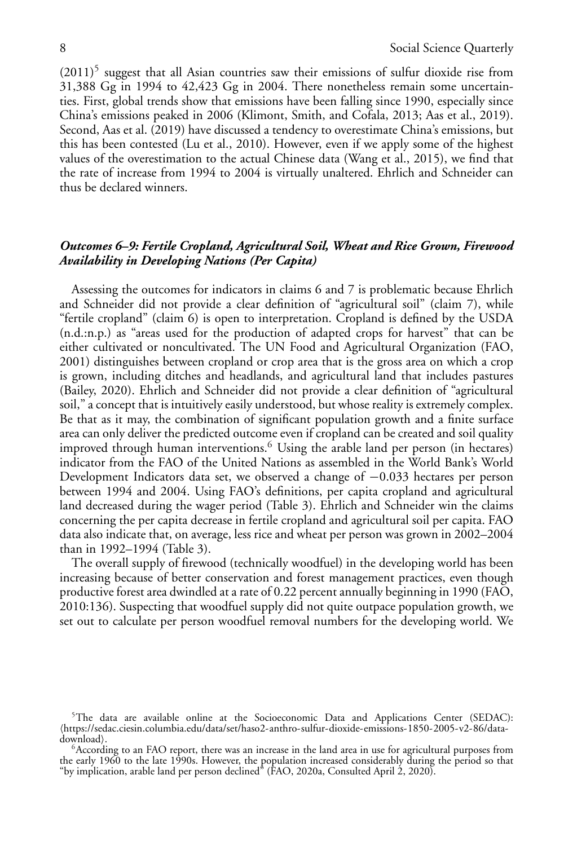$(2011)^5$  suggest that all Asian countries saw their emissions of sulfur dioxide rise from 31,388 Gg in 1994 to 42,423 Gg in 2004. There nonetheless remain some uncertainties. First, global trends show that emissions have been falling since 1990, especially since China's emissions peaked in 2006 (Klimont, Smith, and Cofala, 2013; Aas et al., 2019). Second, Aas et al. (2019) have discussed a tendency to overestimate China's emissions, but this has been contested (Lu et al., 2010). However, even if we apply some of the highest values of the overestimation to the actual Chinese data (Wang et al., 2015), we find that the rate of increase from 1994 to 2004 is virtually unaltered. Ehrlich and Schneider can thus be declared winners.

# *Outcomes 6–9: Fertile Cropland, Agricultural Soil, Wheat and Rice Grown, Firewood Availability in Developing Nations (Per Capita)*

Assessing the outcomes for indicators in claims 6 and 7 is problematic because Ehrlich and Schneider did not provide a clear definition of "agricultural soil" (claim 7), while "fertile cropland" (claim 6) is open to interpretation. Cropland is defined by the USDA (n.d.:n.p.) as "areas used for the production of adapted crops for harvest" that can be either cultivated or noncultivated. The UN Food and Agricultural Organization (FAO, 2001) distinguishes between cropland or crop area that is the gross area on which a crop is grown, including ditches and headlands, and agricultural land that includes pastures (Bailey, 2020). Ehrlich and Schneider did not provide a clear definition of "agricultural soil," a concept that is intuitively easily understood, but whose reality is extremely complex. Be that as it may, the combination of significant population growth and a finite surface area can only deliver the predicted outcome even if cropland can be created and soil quality improved through human interventions.<sup>6</sup> Using the arable land per person (in hectares) indicator from the FAO of the United Nations as assembled in the World Bank's World Development Indicators data set, we observed a change of −0.033 hectares per person between 1994 and 2004. Using FAO's definitions, per capita cropland and agricultural land decreased during the wager period (Table 3). Ehrlich and Schneider win the claims concerning the per capita decrease in fertile cropland and agricultural soil per capita. FAO data also indicate that, on average, less rice and wheat per person was grown in 2002–2004 than in 1992–1994 (Table 3).

The overall supply of firewood (technically woodfuel) in the developing world has been increasing because of better conservation and forest management practices, even though productive forest area dwindled at a rate of 0.22 percent annually beginning in 1990 (FAO, 2010:136). Suspecting that woodfuel supply did not quite outpace population growth, we set out to calculate per person woodfuel removal numbers for the developing world. We

<sup>&</sup>lt;sup>5</sup>The data are available online at the Socioeconomic Data and Applications Center (SEDAC): -https://sedac.ciesin.columbia.edu/data/set/haso2-anthro-sulfur-dioxide-emissions-1850-2005-v2-86/datadownload).

 $6$ According to an FAO report, there was an increase in the land area in use for agricultural purposes from the early 1960 to the late 1990s. However, the population increased considerably during the period so that "by implication, arable land per person declined" (FAO, 2020a, Consulted April 2, 2020).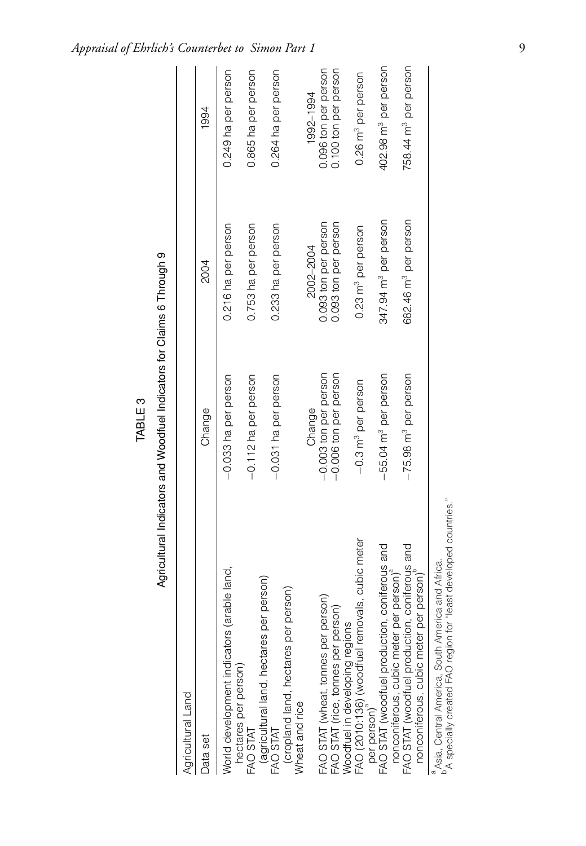| ٦<br>г |  |
|--------|--|
| ш<br>L |  |
| п.     |  |
| Ξ      |  |

| ۱<br>:<br>I            |
|------------------------|
|                        |
| ֞                      |
|                        |
|                        |
|                        |
|                        |
| $\vdots$               |
| indiana cun            |
|                        |
| ֦֧֦֧֝֟֓֝֬֝֬֝֬ <u>֓</u> |

| Agricultural Land                                                                                                                                           |                                    |                                  |                                  |
|-------------------------------------------------------------------------------------------------------------------------------------------------------------|------------------------------------|----------------------------------|----------------------------------|
| Data set                                                                                                                                                    | Change                             | 2004                             | 1994                             |
| World development indicators (arable land,                                                                                                                  | -0.033 ha per person               | 0.216 ha per person              | 0.249 ha per person              |
| hectares per person)<br>FAO STAT                                                                                                                            | -0.112 ha per person               | 0.753 ha per person              | 0.865 ha per person              |
| (agricultural land, hectares per person)<br>FAO STAT                                                                                                        | -0.031 ha per person               | 0.233 ha per person              | 0.264 ha per person              |
| (cropland land, hectares per person)<br>Wheat and rice                                                                                                      |                                    |                                  |                                  |
|                                                                                                                                                             | Change                             | 2002-2004                        | 1992-1994                        |
| FAO STAT (wheat, tonnes per person)                                                                                                                         | -0.003 ton per person              | 0.093 ton per person             | 0.096 ton per person             |
| FAO STAT (rice, tonnes per person)                                                                                                                          | -0.006 ton per person              | 0.093 ton per person             | 0.100 ton per person             |
| Woodfuel in developing regions                                                                                                                              |                                    |                                  |                                  |
| cubic meter<br>FAO (2010:136) (woodfuel removals,<br>per person)                                                                                            | $-0.3$ m <sup>3</sup> per person   | 0.23 m <sup>3</sup> per person   | 0.26 m <sup>3</sup> per person   |
| FAO STAT (woodfuel production, coniferous and                                                                                                               | -55.04 m <sup>3</sup> per person   | 347.94 m <sup>3</sup> per person | 402.98 m <sup>3</sup> per person |
| FAO STAT (woodfuel production, coniferous and<br>nonconiferous, cubic meter per person) <sup>a</sup><br>nonconiferous, cubic meter per person) <sup>D</sup> | $-75.98$ m <sup>3</sup> per person | 682.46 m <sup>3</sup> per person | 758.44 m <sup>3</sup> per person |
| Asia, Central America, South America and Africa.                                                                                                            |                                    |                                  |                                  |
|                                                                                                                                                             |                                    |                                  |                                  |

b Aspecially created FAO region for "least developed countries."<br>A specially created FAO region for "least developed countries." b<br>
<sup>b</sup>A specially created FAO region for "least developed countries." aAsia, Central America, South America and Africa.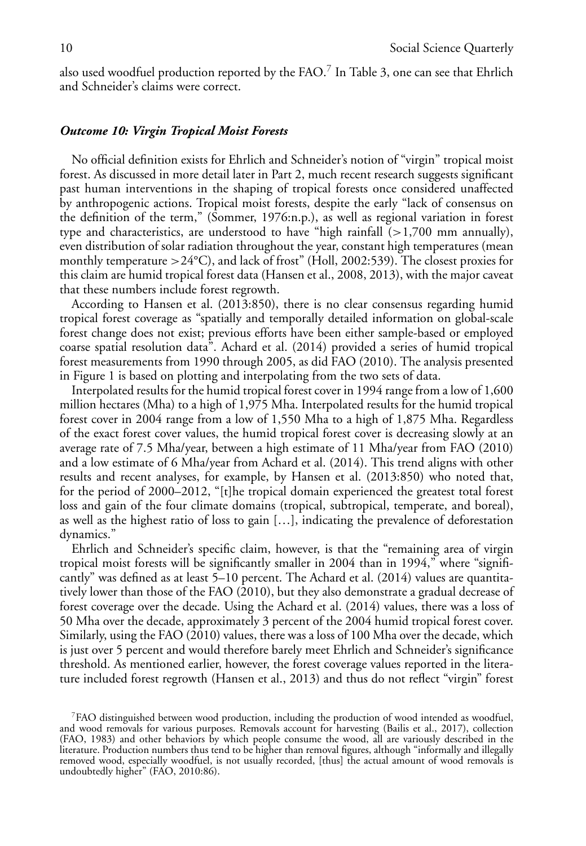also used woodfuel production reported by the FAO. $^7$  In Table 3, one can see that Ehrlich and Schneider's claims were correct.

# *Outcome 10: Virgin Tropical Moist Forests*

No official definition exists for Ehrlich and Schneider's notion of "virgin" tropical moist forest. As discussed in more detail later in Part 2, much recent research suggests significant past human interventions in the shaping of tropical forests once considered unaffected by anthropogenic actions. Tropical moist forests, despite the early "lack of consensus on the definition of the term," (Sommer, 1976:n.p.), as well as regional variation in forest type and characteristics, are understood to have "high rainfall  $(>1,700$  mm annually), even distribution of solar radiation throughout the year, constant high temperatures (mean monthly temperature  $>24^{\circ}$ C), and lack of frost" (Holl, 2002:539). The closest proxies for this claim are humid tropical forest data (Hansen et al., 2008, 2013), with the major caveat that these numbers include forest regrowth.

According to Hansen et al. (2013:850), there is no clear consensus regarding humid tropical forest coverage as "spatially and temporally detailed information on global-scale forest change does not exist; previous efforts have been either sample-based or employed coarse spatial resolution data". Achard et al. (2014) provided a series of humid tropical forest measurements from 1990 through 2005, as did FAO (2010). The analysis presented in Figure 1 is based on plotting and interpolating from the two sets of data.

Interpolated results for the humid tropical forest cover in 1994 range from a low of 1,600 million hectares (Mha) to a high of 1,975 Mha. Interpolated results for the humid tropical forest cover in 2004 range from a low of 1,550 Mha to a high of 1,875 Mha. Regardless of the exact forest cover values, the humid tropical forest cover is decreasing slowly at an average rate of 7.5 Mha/year, between a high estimate of 11 Mha/year from FAO (2010) and a low estimate of 6 Mha/year from Achard et al. (2014). This trend aligns with other results and recent analyses, for example, by Hansen et al. (2013:850) who noted that, for the period of 2000–2012, "[t]he tropical domain experienced the greatest total forest loss and gain of the four climate domains (tropical, subtropical, temperate, and boreal), as well as the highest ratio of loss to gain […], indicating the prevalence of deforestation dynamics."

Ehrlich and Schneider's specific claim, however, is that the "remaining area of virgin tropical moist forests will be significantly smaller in 2004 than in 1994," where "significantly" was defined as at least 5–10 percent. The Achard et al. (2014) values are quantitatively lower than those of the FAO (2010), but they also demonstrate a gradual decrease of forest coverage over the decade. Using the Achard et al. (2014) values, there was a loss of 50 Mha over the decade, approximately 3 percent of the 2004 humid tropical forest cover. Similarly, using the FAO (2010) values, there was a loss of 100 Mha over the decade, which is just over 5 percent and would therefore barely meet Ehrlich and Schneider's significance threshold. As mentioned earlier, however, the forest coverage values reported in the literature included forest regrowth (Hansen et al., 2013) and thus do not reflect "virgin" forest

<sup>7</sup>FAO distinguished between wood production, including the production of wood intended as woodfuel, and wood removals for various purposes. Removals account for harvesting (Bailis et al., 2017), collection (FAO, 1983) and other behaviors by which people consume the wood, all are variously described in the literature. Production numbers thus tend to be higher than removal figures, although "informally and illegally removed wood, especially woodfuel, is not usually recorded, [thus] the actual amount of wood removals is undoubtedly higher" (FAO, 2010:86).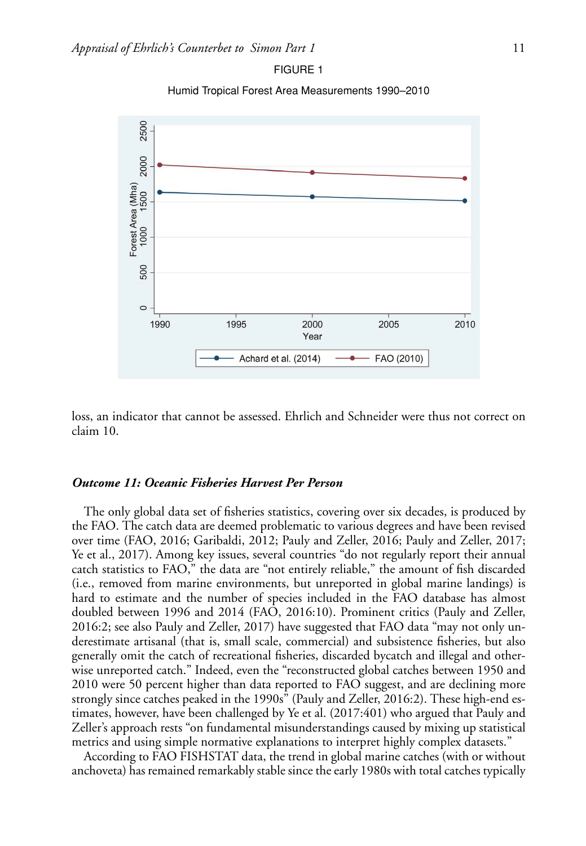

Humid Tropical Forest Area Measurements 1990–2010



loss, an indicator that cannot be assessed. Ehrlich and Schneider were thus not correct on claim 10.

# *Outcome 11: Oceanic Fisheries Harvest Per Person*

The only global data set of fisheries statistics, covering over six decades, is produced by the FAO. The catch data are deemed problematic to various degrees and have been revised over time (FAO, 2016; Garibaldi, 2012; Pauly and Zeller, 2016; Pauly and Zeller, 2017; Ye et al., 2017). Among key issues, several countries "do not regularly report their annual catch statistics to FAO," the data are "not entirely reliable," the amount of fish discarded (i.e., removed from marine environments, but unreported in global marine landings) is hard to estimate and the number of species included in the FAO database has almost doubled between 1996 and 2014 (FAO, 2016:10). Prominent critics (Pauly and Zeller, 2016:2; see also Pauly and Zeller, 2017) have suggested that FAO data "may not only underestimate artisanal (that is, small scale, commercial) and subsistence fisheries, but also generally omit the catch of recreational fisheries, discarded bycatch and illegal and otherwise unreported catch." Indeed, even the "reconstructed global catches between 1950 and 2010 were 50 percent higher than data reported to FAO suggest, and are declining more strongly since catches peaked in the 1990s" (Pauly and Zeller, 2016:2). These high-end estimates, however, have been challenged by Ye et al. (2017:401) who argued that Pauly and Zeller's approach rests "on fundamental misunderstandings caused by mixing up statistical metrics and using simple normative explanations to interpret highly complex datasets."

According to FAO FISHSTAT data, the trend in global marine catches (with or without anchoveta) has remained remarkably stable since the early 1980s with total catches typically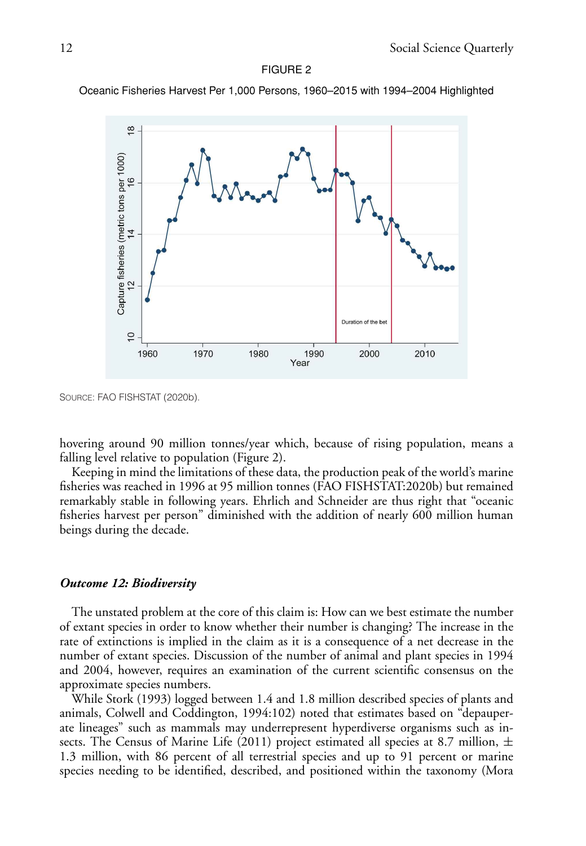#### FIGURE 2

Oceanic Fisheries Harvest Per 1,000 Persons, 1960–2015 with 1994–2004 Highlighted



SOURCE: FAO FISHSTAT (2020b).

hovering around 90 million tonnes/year which, because of rising population, means a falling level relative to population (Figure 2).

Keeping in mind the limitations of these data, the production peak of the world's marine fisheries was reached in 1996 at 95 million tonnes (FAO FISHSTAT:2020b) but remained remarkably stable in following years. Ehrlich and Schneider are thus right that "oceanic fisheries harvest per person" diminished with the addition of nearly 600 million human beings during the decade.

### *Outcome 12: Biodiversity*

The unstated problem at the core of this claim is: How can we best estimate the number of extant species in order to know whether their number is changing? The increase in the rate of extinctions is implied in the claim as it is a consequence of a net decrease in the number of extant species. Discussion of the number of animal and plant species in 1994 and 2004, however, requires an examination of the current scientific consensus on the approximate species numbers.

While Stork (1993) logged between 1.4 and 1.8 million described species of plants and animals, Colwell and Coddington, 1994:102) noted that estimates based on "depauperate lineages" such as mammals may underrepresent hyperdiverse organisms such as insects. The Census of Marine Life (2011) project estimated all species at 8.7 million,  $\pm$ 1.3 million, with 86 percent of all terrestrial species and up to 91 percent or marine species needing to be identified, described, and positioned within the taxonomy (Mora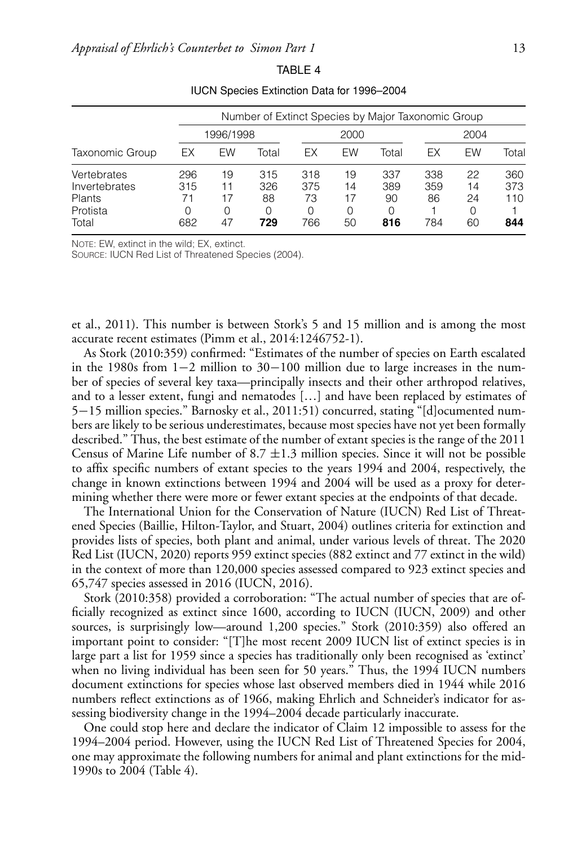|                              |            |               | Number of Extinct Species by Major Taxonomic Group |            |               |                |            |               |            |
|------------------------------|------------|---------------|----------------------------------------------------|------------|---------------|----------------|------------|---------------|------------|
|                              |            | 1996/1998     |                                                    |            | 2000          |                |            | 2004          |            |
| Taxonomic Group              | ЕX         | EW            | Total                                              | ЕX         | EW            | Total          | ЕX         | EW            | Total      |
| Vertebrates<br>Invertebrates | 296<br>315 | 19<br>11      | 315<br>326                                         | 318<br>375 | 19<br>14      | 337<br>389     | 338<br>359 | 22<br>14      | 360<br>373 |
| Plants<br>Protista<br>Total  | 682        | 17<br>Ω<br>47 | 88<br>O<br>729                                     | 73<br>766  | 17<br>O<br>50 | 90<br>O<br>816 | 86<br>784  | 24<br>0<br>60 | 110<br>844 |

TABLE 4 IUCN Species Extinction Data for 1996–2004

NOTE: EW, extinct in the wild; EX, extinct.

SOURCE: IUCN Red List of Threatened Species (2004).

et al., 2011). This number is between Stork's 5 and 15 million and is among the most accurate recent estimates (Pimm et al., 2014:1246752-1).

As Stork (2010:359) confirmed: "Estimates of the number of species on Earth escalated in the 1980s from 1−2 million to 30−100 million due to large increases in the number of species of several key taxa—principally insects and their other arthropod relatives, and to a lesser extent, fungi and nematodes […] and have been replaced by estimates of 5−15 million species." Barnosky et al., 2011:51) concurred, stating "[d]ocumented numbers are likely to be serious underestimates, because most species have not yet been formally described." Thus, the best estimate of the number of extant species is the range of the 2011 Census of Marine Life number of 8.7  $\pm$ 1.3 million species. Since it will not be possible to affix specific numbers of extant species to the years 1994 and 2004, respectively, the change in known extinctions between 1994 and 2004 will be used as a proxy for determining whether there were more or fewer extant species at the endpoints of that decade.

The International Union for the Conservation of Nature (IUCN) Red List of Threatened Species (Baillie, Hilton-Taylor, and Stuart, 2004) outlines criteria for extinction and provides lists of species, both plant and animal, under various levels of threat. The 2020 Red List (IUCN, 2020) reports 959 extinct species (882 extinct and 77 extinct in the wild) in the context of more than 120,000 species assessed compared to 923 extinct species and 65,747 species assessed in 2016 (IUCN, 2016).

Stork (2010:358) provided a corroboration: "The actual number of species that are officially recognized as extinct since 1600, according to IUCN (IUCN, 2009) and other sources, is surprisingly low—around 1,200 species." Stork (2010:359) also offered an important point to consider: "[T]he most recent 2009 IUCN list of extinct species is in large part a list for 1959 since a species has traditionally only been recognised as 'extinct' when no living individual has been seen for 50 years." Thus, the 1994 IUCN numbers document extinctions for species whose last observed members died in 1944 while 2016 numbers reflect extinctions as of 1966, making Ehrlich and Schneider's indicator for assessing biodiversity change in the 1994–2004 decade particularly inaccurate.

One could stop here and declare the indicator of Claim 12 impossible to assess for the 1994–2004 period. However, using the IUCN Red List of Threatened Species for 2004, one may approximate the following numbers for animal and plant extinctions for the mid-1990s to 2004 (Table 4).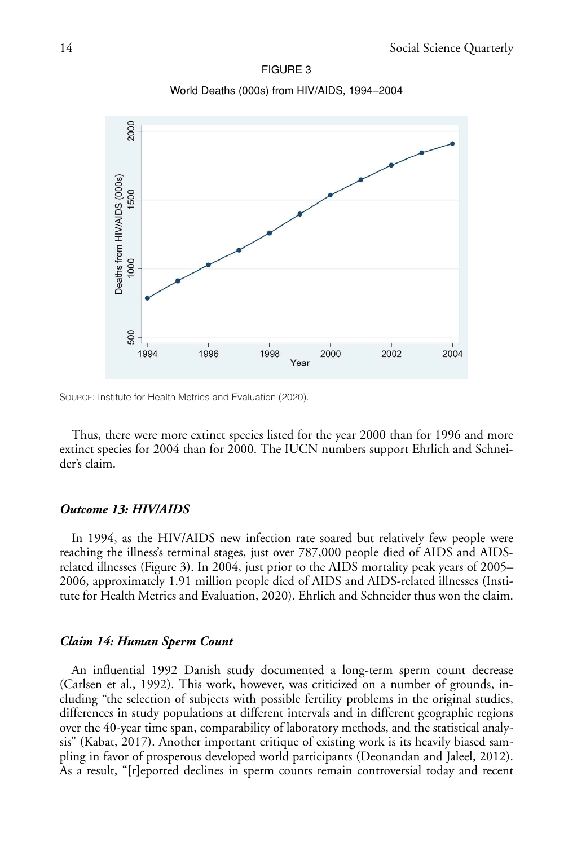

FIGURE 3 World Deaths (000s) from HIV/AIDS, 1994–2004

SOURCE: Institute for Health Metrics and Evaluation (2020).

Thus, there were more extinct species listed for the year 2000 than for 1996 and more extinct species for 2004 than for 2000. The IUCN numbers support Ehrlich and Schneider's claim.

# *Outcome 13: HIV/AIDS*

In 1994, as the HIV/AIDS new infection rate soared but relatively few people were reaching the illness's terminal stages, just over 787,000 people died of AIDS and AIDSrelated illnesses (Figure 3). In 2004, just prior to the AIDS mortality peak years of 2005– 2006, approximately 1.91 million people died of AIDS and AIDS-related illnesses (Institute for Health Metrics and Evaluation, 2020). Ehrlich and Schneider thus won the claim.

### *Claim 14: Human Sperm Count*

An influential 1992 Danish study documented a long-term sperm count decrease (Carlsen et al., 1992). This work, however, was criticized on a number of grounds, including "the selection of subjects with possible fertility problems in the original studies, differences in study populations at different intervals and in different geographic regions over the 40-year time span, comparability of laboratory methods, and the statistical analysis" (Kabat, 2017). Another important critique of existing work is its heavily biased sampling in favor of prosperous developed world participants (Deonandan and Jaleel, 2012). As a result, "[r]eported declines in sperm counts remain controversial today and recent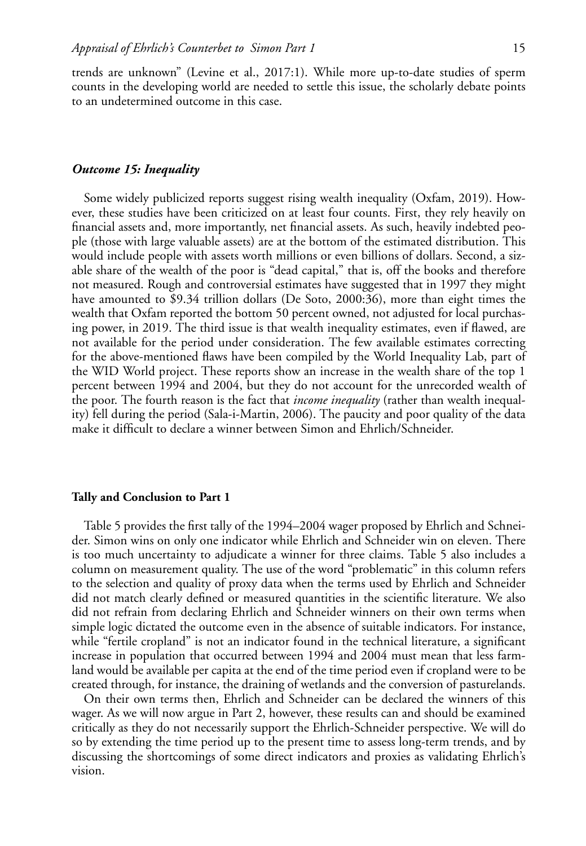trends are unknown" (Levine et al., 2017:1). While more up-to-date studies of sperm counts in the developing world are needed to settle this issue, the scholarly debate points to an undetermined outcome in this case.

# *Outcome 15: Inequality*

Some widely publicized reports suggest rising wealth inequality (Oxfam, 2019). However, these studies have been criticized on at least four counts. First, they rely heavily on financial assets and, more importantly, net financial assets. As such, heavily indebted people (those with large valuable assets) are at the bottom of the estimated distribution. This would include people with assets worth millions or even billions of dollars. Second, a sizable share of the wealth of the poor is "dead capital," that is, off the books and therefore not measured. Rough and controversial estimates have suggested that in 1997 they might have amounted to \$9.34 trillion dollars (De Soto, 2000:36), more than eight times the wealth that Oxfam reported the bottom 50 percent owned, not adjusted for local purchasing power, in 2019. The third issue is that wealth inequality estimates, even if flawed, are not available for the period under consideration. The few available estimates correcting for the above-mentioned flaws have been compiled by the World Inequality Lab, part of the WID World project. These reports show an increase in the wealth share of the top 1 percent between 1994 and 2004, but they do not account for the unrecorded wealth of the poor. The fourth reason is the fact that *income inequality* (rather than wealth inequality) fell during the period (Sala-i-Martin, 2006). The paucity and poor quality of the data make it difficult to declare a winner between Simon and Ehrlich/Schneider.

# **Tally and Conclusion to Part 1**

Table 5 provides the first tally of the 1994–2004 wager proposed by Ehrlich and Schneider. Simon wins on only one indicator while Ehrlich and Schneider win on eleven. There is too much uncertainty to adjudicate a winner for three claims. Table 5 also includes a column on measurement quality. The use of the word "problematic" in this column refers to the selection and quality of proxy data when the terms used by Ehrlich and Schneider did not match clearly defined or measured quantities in the scientific literature. We also did not refrain from declaring Ehrlich and Schneider winners on their own terms when simple logic dictated the outcome even in the absence of suitable indicators. For instance, while "fertile cropland" is not an indicator found in the technical literature, a significant increase in population that occurred between 1994 and 2004 must mean that less farmland would be available per capita at the end of the time period even if cropland were to be created through, for instance, the draining of wetlands and the conversion of pasturelands.

On their own terms then, Ehrlich and Schneider can be declared the winners of this wager. As we will now argue in Part 2, however, these results can and should be examined critically as they do not necessarily support the Ehrlich-Schneider perspective. We will do so by extending the time period up to the present time to assess long-term trends, and by discussing the shortcomings of some direct indicators and proxies as validating Ehrlich's vision.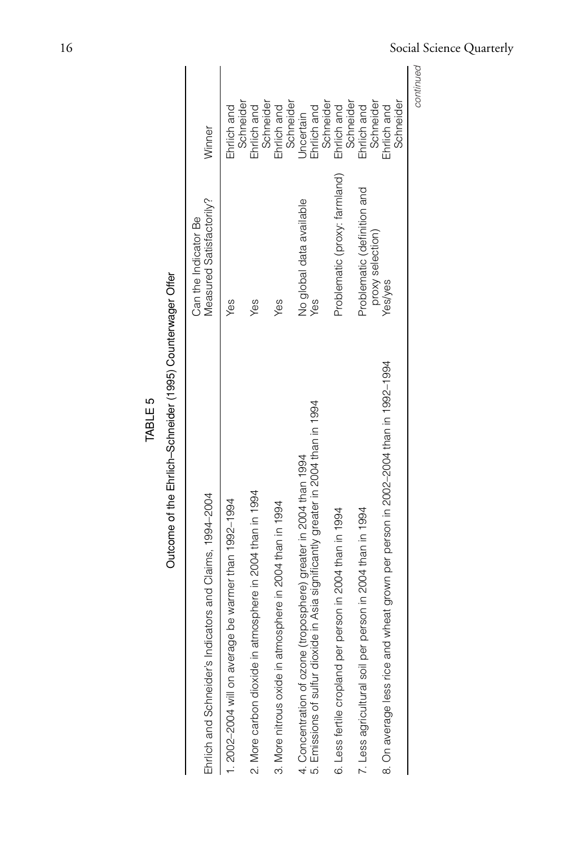| Outcome of the Ehrlich-Schneider (1995) Counterwager Offer                                                                                                  |                                                  |                                              |
|-------------------------------------------------------------------------------------------------------------------------------------------------------------|--------------------------------------------------|----------------------------------------------|
| Ehrlich and Schneider's Indicators and Claims, 1994-2004                                                                                                    | Measured Satisfactorily?<br>Can the Indicator Be | Winner                                       |
| 1. 2002-2004 will on average be warmer than 1992-1994                                                                                                       | Yes                                              | Ehrlich and                                  |
| 2. More carbon dioxide in atmosphere in 2004 than in 1994                                                                                                   | Yes                                              | Schneider<br>Ehrlich and                     |
| in 2004 than in 1994<br>3. More nitrous oxide in atmosphere                                                                                                 | Yes                                              | Schneider<br>Ehrlich and                     |
| 5. Emissions of sulfur dioxide in Asia significantly greater in 2004 than in 1994<br>here) greater in 2004 than 1994<br>4. Concentration of ozone (troposph | No global data available<br>Yes                  | Schneider<br>Ehrlich and<br><b>Jncertain</b> |
| in 2004 than in 1994<br>6. Less fertile cropland per person                                                                                                 | Problematic (proxy: farmland)                    | Schneider<br>Schneider<br>Ehrlich and        |
| in 2004 than in 1994<br>7. Less agricultural soil per person i                                                                                              | Problematic (definition and                      | Schneider<br>Ehrlich and                     |
| grown per person in 2002-2004 than in 1992-1994<br>8. On average less rice and wheat                                                                        | proxy selection)<br>Yes/yes                      | Schneider<br>Ehrlich and                     |
|                                                                                                                                                             |                                                  | continued                                    |

TABLE 5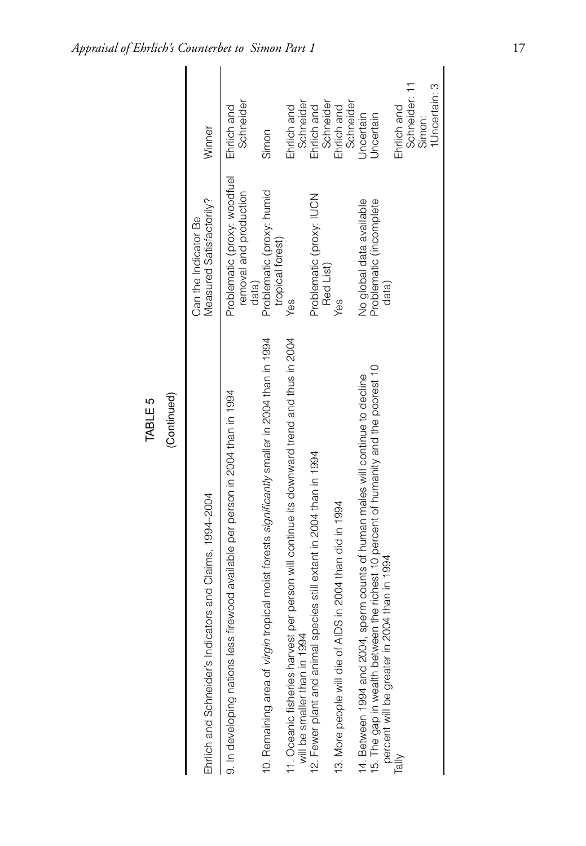| DDDN:11:15   DDDN:1                                                                                                                                                                                                        |                                                                 |                                       |
|----------------------------------------------------------------------------------------------------------------------------------------------------------------------------------------------------------------------------|-----------------------------------------------------------------|---------------------------------------|
| Ehrlich and Schneider's Indicators and Claims, 1994-2004                                                                                                                                                                   | Measured Satisfactorily?<br>Can the Indicator Be                | Winner                                |
| 9. In developing nations less firewood available per person in 2004 than in 1994                                                                                                                                           | Problematic (proxy: woodfuel<br>removal and production<br>data) | Schneider<br>Ehrlich and              |
| 10. Remaining area of <i>virgin</i> tropical moist forests significantly smaller in 2004 than in 1994                                                                                                                      | Problematic (proxy: humid<br>tropical forest)                   | Simon                                 |
| 11. Oceanic fisheries harvest per person will continue its downward trend and thus in 2004<br>will be smaller than in 1994                                                                                                 | Yes                                                             | Ehrlich and                           |
| 12. Fewer plant and animal species still extant in 2004 than in 1994                                                                                                                                                       | Problematic (proxy: IUCN<br>Red List)                           | Schneider<br>Ehrlich and<br>Schneider |
| 13. More people will die of AIDS in 2004 than did in 1994                                                                                                                                                                  | Yes                                                             | Schneider<br>Ehrlich and              |
| 15. The gap in wealth between the richest 10 percent of humanity and the poorest 10<br>erm counts of human males will continue to decline<br>percent will be greater in 2004 than in 1994<br>14. Between 1994 and 2004, sp | No global data available<br>Problematic (incomplete<br>data)    | Uncertain<br>Jncertain                |
| $\frac{1}{\overline{a}}$                                                                                                                                                                                                   |                                                                 | Ehrlich and                           |
|                                                                                                                                                                                                                            |                                                                 | Schneider: 11                         |
|                                                                                                                                                                                                                            |                                                                 | Simon:                                |
|                                                                                                                                                                                                                            |                                                                 | 1 Uncertain: 3                        |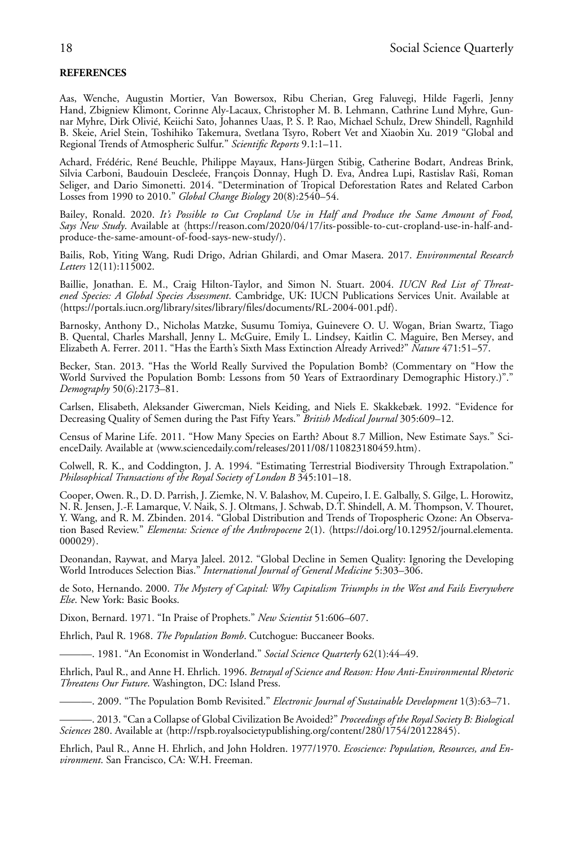# **REFERENCES**

Aas, Wenche, Augustin Mortier, Van Bowersox, Ribu Cherian, Greg Faluvegi, Hilde Fagerli, Jenny Hand, Zbigniew Klimont, Corinne Aly-Lacaux, Christopher M. B. Lehmann, Cathrine Lund Myhre, Gunnar Myhre, Dirk Olivié, Keiichi Sato, Johannes Uaas, P. S. P. Rao, Michael Schulz, Drew Shindell, Ragnhild B. Skeie, Ariel Stein, Toshihiko Takemura, Svetlana Tsyro, Robert Vet and Xiaobin Xu. 2019 "Global and Regional Trends of Atmospheric Sulfur." *Scientific Reports* 9.1:1–11.

Achard, Frédéric, René Beuchle, Philippe Mayaux, Hans-Jürgen Stibig, Catherine Bodart, Andreas Brink, Silvia Carboni, Baudouin Descleée, François Donnay, Hugh D. Eva, Andrea Lupi, Rastislav Raŝi, Roman Seliger, and Dario Simonetti. 2014. "Determination of Tropical Deforestation Rates and Related Carbon Losses from 1990 to 2010." *Global Change Biology* 20(8):2540–54.

Bailey, Ronald. 2020. *It's Possible to Cut Cropland Use in Half and Produce the Same Amount of Food,* Says New Study. Available at (https://reason.com/2020/04/17/its-possible-to-cut-cropland-use-in-half-andproduce-the-same-amount-of-food-says-new-study/.

Bailis, Rob, Yiting Wang, Rudi Drigo, Adrian Ghilardi, and Omar Masera. 2017. *Environmental Research Letters* 12(11):115002.

Baillie, Jonathan. E. M., Craig Hilton-Taylor, and Simon N. Stuart. 2004. *IUCN Red List of Threatened Species: A Global Species Assessment*. Cambridge, UK: IUCN Publications Services Unit. Available at -https://portals.iucn.org/library/sites/library/files/documents/RL-2004-001.pdf.

Barnosky, Anthony D., Nicholas Matzke, Susumu Tomiya, Guinevere O. U. Wogan, Brian Swartz, Tiago B. Quental, Charles Marshall, Jenny L. McGuire, Emily L. Lindsey, Kaitlin C. Maguire, Ben Mersey, and Elizabeth A. Ferrer. 2011. "Has the Earth's Sixth Mass Extinction Already Arrived?" *Nature* 471:51–57.

Becker, Stan. 2013. "Has the World Really Survived the Population Bomb? (Commentary on "How the World Survived the Population Bomb: Lessons from 50 Years of Extraordinary Demographic History.)"." *Demography* 50(6):2173–81.

Carlsen, Elisabeth, Aleksander Giwercman, Niels Keiding, and Niels E. Skakkebæk. 1992. "Evidence for Decreasing Quality of Semen during the Past Fifty Years." *British Medical Journal* 305:609–12.

Census of Marine Life. 2011. "How Many Species on Earth? About 8.7 Million, New Estimate Says." ScienceDaily. Available at (www.sciencedaily.com/releases/2011/08/110823180459.htm).

Colwell, R. K., and Coddington, J. A. 1994. "Estimating Terrestrial Biodiversity Through Extrapolation." *Philosophical Transactions of the Royal Society of London B* 345:101–18.

Cooper, Owen. R., D. D. Parrish, J. Ziemke, N. V. Balashov, M. Cupeiro, I. E. Galbally, S. Gilge, L. Horowitz, N. R. Jensen, J.-F. Lamarque, V. Naik, S. J. Oltmans, J. Schwab, D.T. Shindell, A. M. Thompson, V. Thouret, Y. Wang, and R. M. Zbinden. 2014. "Global Distribution and Trends of Tropospheric Ozone: An Observation Based Review." *Elementa: Science of the Anthropocene* 2(1). (https://doi.org/10.12952/journal.elementa. 000029.

Deonandan, Raywat, and Marya Jaleel. 2012. "Global Decline in Semen Quality: Ignoring the Developing World Introduces Selection Bias." *International Journal of General Medicine* 5:303–306.

de Soto, Hernando. 2000. *The Mystery of Capital: Why Capitalism Triumphs in the West and Fails Everywhere Else*. New York: Basic Books.

Dixon, Bernard. 1971. "In Praise of Prophets." *New Scientist* 51:606–607.

Ehrlich, Paul R. 1968. *The Population Bomb*. Cutchogue: Buccaneer Books.

———. 1981. "An Economist in Wonderland." *Social Science Quarterly* 62(1):44–49.

Ehrlich, Paul R., and Anne H. Ehrlich. 1996. *Betrayal of Science and Reason: How Anti-Environmental Rhetoric Threatens Our Future*. Washington, DC: Island Press.

———. 2009. "The Population Bomb Revisited." *Electronic Journal of Sustainable Development* 1(3):63–71.

———. 2013. "Can a Collapse of Global Civilization Be Avoided?" *Proceedings of the Royal Society B: Biological* Sciences 280. Available at (http://rspb.royalsocietypublishing.org/content/280/1754/20122845).

Ehrlich, Paul R., Anne H. Ehrlich, and John Holdren. 1977/1970. *Ecoscience: Population, Resources, and Environment*. San Francisco, CA: W.H. Freeman.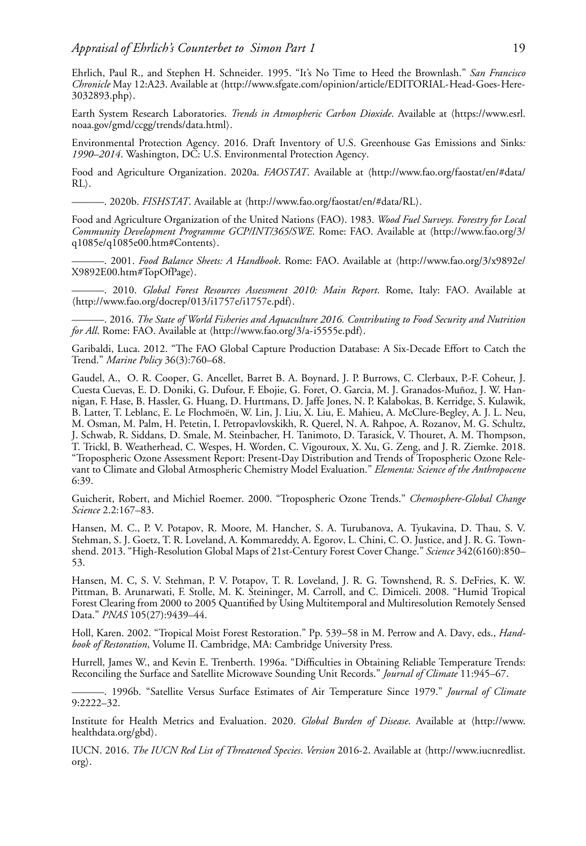Ehrlich, Paul R., and Stephen H. Schneider. 1995. "It's No Time to Heed the Brownlash." *San Francisco* Chronicle May 12:A23. Available at (http://www.sfgate.com/opinion/article/EDITORIAL-Head-Goes-Here-3032893.php.

Earth System Research Laboratories. *Trends in Atmospheric Carbon Dioxide*. Available at (https://www.esrl. noaa.gov/gmd/ccgg/trends/data.html.

Environmental Protection Agency. 2016. Draft Inventory of U.S. Greenhouse Gas Emissions and Sinks*: 1990–2014*. Washington, DC: U.S. Environmental Protection Agency.

Food and Agriculture Organization. 2020a. FAOSTAT. Available at (http://www.fao.org/faostat/en/#data/  $RL$ .

———. 2020b. *FISHSTAT*. Available at \http://www.fao.org/faostat/en/#data/RL).

Food and Agriculture Organization of the United Nations (FAO). 1983. *Wood Fuel Surveys. Forestry for Local* Community Development Programme GCP/INT/365/SWE. Rome: FAO. Available at \http://www.fao.org/3/ q1085e/q1085e00.htm#Contents.

———. 2001. *Food Balance Sheets: A Handbook*. Rome: FAO. Available at -http://www.fao.org/3/x9892e/ X9892E00.htm#TopOfPage.

———. 2010. *Global Forest Resources Assessment 2010: Main Report*. Rome, Italy: FAO. Available at -http://www.fao.org/docrep/013/i1757e/i1757e.pdf.

———. 2016. *The State of World Fisheries and Aquaculture 2016. Contributing to Food Security and Nutrition* for All. Rome: FAO. Available at (http://www.fao.org/3/a-i5555e.pdf).

Garibaldi, Luca. 2012. "The FAO Global Capture Production Database: A Six-Decade Effort to Catch the Trend." *Marine Policy* 36(3):760–68.

Gaudel, A., O. R. Cooper, G. Ancellet, Barret B. A. Boynard, J. P. Burrows, C. Clerbaux, P.-F. Coheur, J. Cuesta Cuevas, E. D. Doniki, G. Dufour, F. Ebojie, G. Foret, O. Garcia, M. J. Granados-Muñoz, J. W. Hannigan, F. Hase, B. Hassler, G. Huang, D. Hurtmans, D. Jaffe Jones, N. P. Kalabokas, B. Kerridge, S. Kulawik, B. Latter, T. Leblanc, E. Le Flochmoën, W. Lin, J. Liu, X. Liu, E. Mahieu, A. McClure-Begley, A. J. L. Neu, M. Osman, M. Palm, H. Petetin, I. Petropavlovskikh, R. Querel, N. A. Rahpoe, A. Rozanov, M. G. Schultz, J. Schwab, R. Siddans, D. Smale, M. Steinbacher, H. Tanimoto, D. Tarasick, V. Thouret, A. M. Thompson, T. Trickl, B. Weatherhead, C. Wespes, H. Worden, C. Vigouroux, X. Xu, G. Zeng, and J. R. Ziemke. 2018. "Tropospheric Ozone Assessment Report: Present-Day Distribution and Trends of Tropospheric Ozone Relevant to Climate and Global Atmospheric Chemistry Model Evaluation." *Elementa: Science of the Anthropocene* 6:39.

Guicherit, Robert, and Michiel Roemer. 2000. "Tropospheric Ozone Trends." *Chemosphere-Global Change Science* 2.2:167–83.

Hansen, M. C., P. V. Potapov, R. Moore, M. Hancher, S. A. Turubanova, A. Tyukavina, D. Thau, S. V. Stehman, S. J. Goetz, T. R. Loveland, A. Kommareddy, A. Egorov, L. Chini, C. O. Justice, and J. R. G. Townshend. 2013. "High-Resolution Global Maps of 21st-Century Forest Cover Change." *Science* 342(6160):850– 53.

Hansen, M. C, S. V. Stehman, P. V. Potapov, T. R. Loveland, J. R. G. Townshend, R. S. DeFries, K. W. Pittman, B. Arunarwati, F. Stolle, M. K. Steininger, M. Carroll, and C. Dimiceli. 2008. "Humid Tropical Forest Clearing from 2000 to 2005 Quantified by Using Multitemporal and Multiresolution Remotely Sensed Data." *PNAS* 105(27):9439–44.

Holl, Karen. 2002. "Tropical Moist Forest Restoration." Pp. 539–58 in M. Perrow and A. Davy, eds., *Handbook of Restoration*, Volume II. Cambridge, MA: Cambridge University Press.

Hurrell, James W., and Kevin E. Trenberth. 1996a. "Difficulties in Obtaining Reliable Temperature Trends: Reconciling the Surface and Satellite Microwave Sounding Unit Records." *Journal of Climate* 11:945–67.

———. 1996b. "Satellite Versus Surface Estimates of Air Temperature Since 1979." *Journal of Climate* 9:2222–32.

Institute for Health Metrics and Evaluation. 2020. *Global Burden of Disease*. Available at (http://www. healthdata.org/gbd).

IUCN. 2016. *The IUCN Red List of Threatened Species. Version* 2016-2. Available at (http://www.iucnredlist.  $\text{org}$ .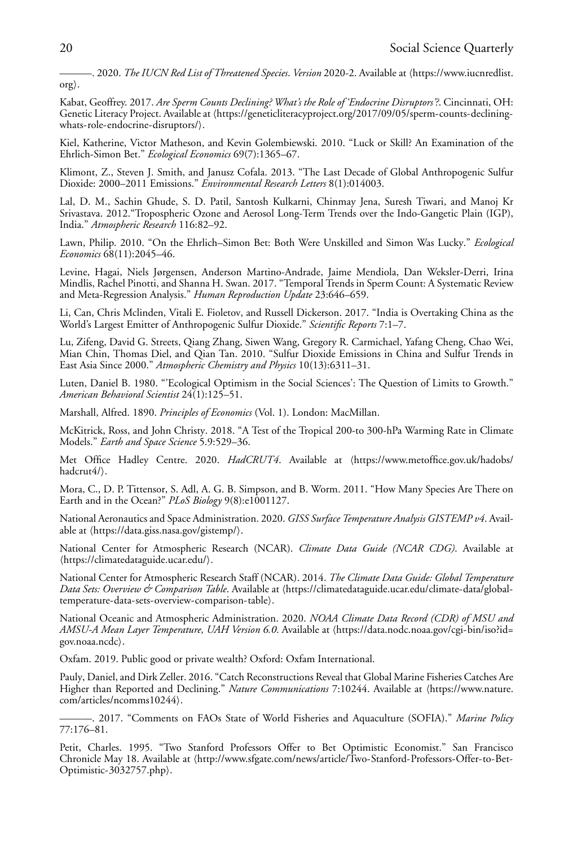———. 2020. *The IUCN Red List of Threatened Species. Version* 2020-2. Available at  $\langle$ https://www.iucnredlist.  $\text{org}$ .

Kabat, Geoffrey. 2017. *Are Sperm Counts Declining? What's the Role of 'Endocrine Disruptors'?*. Cincinnati, OH: Genetic Literacy Project. Available at (https://geneticliteracyproject.org/2017/09/05/sperm-counts-decliningwhats-role-endocrine-disruptors/.

Kiel, Katherine, Victor Matheson, and Kevin Golembiewski. 2010. "Luck or Skill? An Examination of the Ehrlich-Simon Bet." *Ecological Economics* 69(7):1365–67.

Klimont, Z., Steven J. Smith, and Janusz Cofala. 2013. "The Last Decade of Global Anthropogenic Sulfur Dioxide: 2000–2011 Emissions." *Environmental Research Letters* 8(1):014003.

Lal, D. M., Sachin Ghude, S. D. Patil, Santosh Kulkarni, Chinmay Jena, Suresh Tiwari, and Manoj Kr Srivastava. 2012."Tropospheric Ozone and Aerosol Long-Term Trends over the Indo-Gangetic Plain (IGP), India." *Atmospheric Research* 116:82–92.

Lawn, Philip. 2010. "On the Ehrlich–Simon Bet: Both Were Unskilled and Simon Was Lucky." *Ecological Economics* 68(11):2045–46.

Levine, Hagai, Niels Jørgensen, Anderson Martino-Andrade, Jaime Mendiola, Dan Weksler-Derri, Irina Mindlis, Rachel Pinotti, and Shanna H. Swan. 2017. "Temporal Trends in Sperm Count: A Systematic Review and Meta-Regression Analysis." *Human Reproduction Update* 23:646–659.

Li, Can, Chris Mclinden, Vitali E. Fioletov, and Russell Dickerson. 2017. "India is Overtaking China as the World's Largest Emitter of Anthropogenic Sulfur Dioxide." *Scientific Reports* 7:1–7.

Lu, Zifeng, David G. Streets, Qiang Zhang, Siwen Wang, Gregory R. Carmichael, Yafang Cheng, Chao Wei, Mian Chin, Thomas Diel, and Qian Tan. 2010. "Sulfur Dioxide Emissions in China and Sulfur Trends in East Asia Since 2000." *Atmospheric Chemistry and Physics* 10(13):6311–31.

Luten, Daniel B. 1980. "'Ecological Optimism in the Social Sciences': The Question of Limits to Growth." *American Behavioral Scientist* 24(1):125–51.

Marshall, Alfred. 1890. *Principles of Economics* (Vol. 1). London: MacMillan.

McKitrick, Ross, and John Christy. 2018. "A Test of the Tropical 200-to 300-hPa Warming Rate in Climate Models." *Earth and Space Science* 5.9:529–36.

Met Office Hadley Centre. 2020. *HadCRUT4*. Available at (https://www.metoffice.gov.uk/hadobs/ hadcrut4/).

Mora, C., D. P. Tittensor, S. Adl, A. G. B. Simpson, and B. Worm. 2011. "How Many Species Are There on Earth and in the Ocean?" *PLoS Biology* 9(8):e1001127.

National Aeronautics and Space Administration. 2020. *GISS Surface Temperature Analysis GISTEMP v4*. Available at (https://data.giss.nasa.gov/gistemp/).

National Center for Atmospheric Research (NCAR). *Climate Data Guide (NCAR CDG)*. Available at -https://climatedataguide.ucar.edu/.

National Center for Atmospheric Research Staff (NCAR). 2014. *The Climate Data Guide: Global Temperature* Data Sets: Overview & Comparison Table. Available at (https://climatedataguide.ucar.edu/climate-data/globaltemperature-data-sets-overview-comparison-table.

National Oceanic and Atmospheric Administration. 2020. *NOAA Climate Data Record (CDR) of MSU and AMSU-A Mean Layer Temperature, UAH Version 6.0*. Available at (https://data.nodc.noaa.gov/cgi-bin/iso?id= gov.noaa.ncdc).

Oxfam. 2019. Public good or private wealth? Oxford: Oxfam International.

Pauly, Daniel, and Dirk Zeller. 2016. "Catch Reconstructions Reveal that Global Marine Fisheries Catches Are Higher than Reported and Declining." *Nature Communications* 7:10244. Available at (https://www.nature. com/articles/ncomms10244).

———. 2017. "Comments on FAOs State of World Fisheries and Aquaculture (SOFIA)." *Marine Policy* 77:176–81.

Petit, Charles. 1995. "Two Stanford Professors Offer to Bet Optimistic Economist." San Francisco Chronicle May 18. Available at (http://www.sfgate.com/news/article/Two-Stanford-Professors-Offer-to-Bet-Optimistic-3032757.php.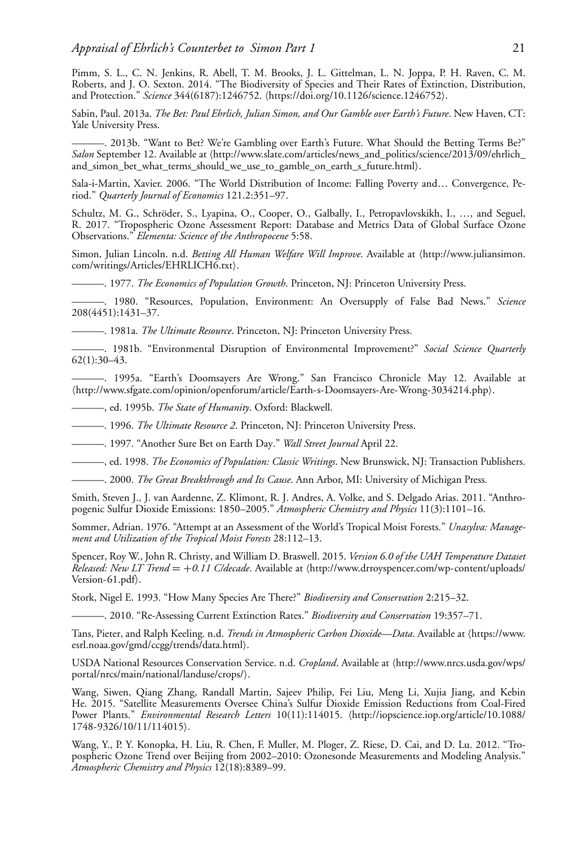Pimm, S. L., C. N. Jenkins, R. Abell, T. M. Brooks, J. L. Gittelman, L. N. Joppa, P. H. Raven, C. M. Roberts, and J. O. Sexton. 2014. "The Biodiversity of Species and Their Rates of Extinction, Distribution, and Protection." Science 344(6187):1246752. (https://doi.org/10.1126/science.1246752).

Sabin, Paul. 2013a. *The Bet: Paul Ehrlich, Julian Simon, and Our Gamble over Earth's Future*. New Haven, CT: Yale University Press.

———. 2013b. "Want to Bet? We're Gambling over Earth's Future. What Should the Betting Terms Be?" Salon September 12. Available at (http://www.slate.com/articles/news\_and\_politics/science/2013/09/ehrlich\_ and\_simon\_bet\_what\_terms\_should\_we\_use\_to\_gamble\_on\_earth\_s\_future.html).

Sala-i-Martin, Xavier. 2006. "The World Distribution of Income: Falling Poverty and… Convergence, Period." *Quarterly Journal of Economics* 121.2:351–97.

Schultz, M. G., Schröder, S., Lyapina, O., Cooper, O., Galbally, I., Petropavlovskikh, I., …, and Seguel, R. 2017. "Tropospheric Ozone Assessment Report: Database and Metrics Data of Global Surface Ozone Observations." *Elementa: Science of the Anthropocene* 5:58.

Simon, Julian Lincoln. n.d. *Betting All Human Welfare Will Improve*. Available at (http://www.juliansimon. com/writings/Articles/EHRLICH6.txt).

———. 1977. *The Economics of Population Growth*. Princeton, NJ: Princeton University Press.

———. 1980. "Resources, Population, Environment: An Oversupply of False Bad News." *Science* 208(4451):1431–37.

———. 1981a. *The Ultimate Resource*. Princeton, NJ: Princeton University Press.

———. 1981b. "Environmental Disruption of Environmental Improvement?" *Social Science Quarterly* 62(1):30–43.

———. 1995a. "Earth's Doomsayers Are Wrong." San Francisco Chronicle May 12. Available at -http://www.sfgate.com/opinion/openforum/article/Earth-s-Doomsayers-Are-Wrong-3034214.php.

———, ed. 1995b. *The State of Humanity*. Oxford: Blackwell.

———. 1996. *The Ultimate Resource 2*. Princeton, NJ: Princeton University Press.

———. 1997. "Another Sure Bet on Earth Day." *Wall Street Journal* April 22.

———, ed. 1998. *The Economics of Population: Classic Writings*. New Brunswick, NJ: Transaction Publishers.

———. 2000. *The Great Breakthrough and Its Cause*. Ann Arbor, MI: University of Michigan Press.

Smith, Steven J., J. van Aardenne, Z. Klimont, R. J. Andres, A. Volke, and S. Delgado Arias. 2011. "Anthropogenic Sulfur Dioxide Emissions: 1850–2005." *Atmospheric Chemistry and Physics* 11(3):1101–16.

Sommer, Adrian. 1976. "Attempt at an Assessment of the World's Tropical Moist Forests." *Unasylva: Management and Utilization of the Tropical Moist Forests* 28:112–13.

Spencer, Roy W., John R. Christy, and William D. Braswell. 2015. *Version 6.0 of the UAH Temperature Dataset* Released: New LT Trend = +0.11 C/decade. Available at \http://www.drroyspencer.com/wp-content/uploads/ Version-61.pdf).

Stork, Nigel E. 1993. "How Many Species Are There?" *Biodiversity and Conservation* 2:215–32.

———. 2010. "Re-Assessing Current Extinction Rates." *Biodiversity and Conservation* 19:357–71.

Tans, Pieter, and Ralph Keeling. n.d. *Trends in Atmospheric Carbon Dioxide—Data*. Available at (https://www. esrl.noaa.gov/gmd/ccgg/trends/data.html.

USDA National Resources Conservation Service. n.d. *Cropland*. Available at (http://www.nrcs.usda.gov/wps/ portal/nrcs/main/national/landuse/crops/.

Wang, Siwen, Qiang Zhang, Randall Martin, Sajeev Philip, Fei Liu, Meng Li, Xujia Jiang, and Kebin He. 2015. "Satellite Measurements Oversee China's Sulfur Dioxide Emission Reductions from Coal-Fired Power Plants." Environmental Research Letters 10(11):114015. (http://iopscience.iop.org/article/10.1088/ 1748-9326/10/11/114015.

Wang, Y., P. Y. Konopka, H. Liu, R. Chen, F. Muller, M. Ploger, Z. Riese, D. Cai, and D. Lu. 2012. "Tropospheric Ozone Trend over Beijing from 2002–2010: Ozonesonde Measurements and Modeling Analysis." *Atmospheric Chemistry and Physics* 12(18):8389–99.